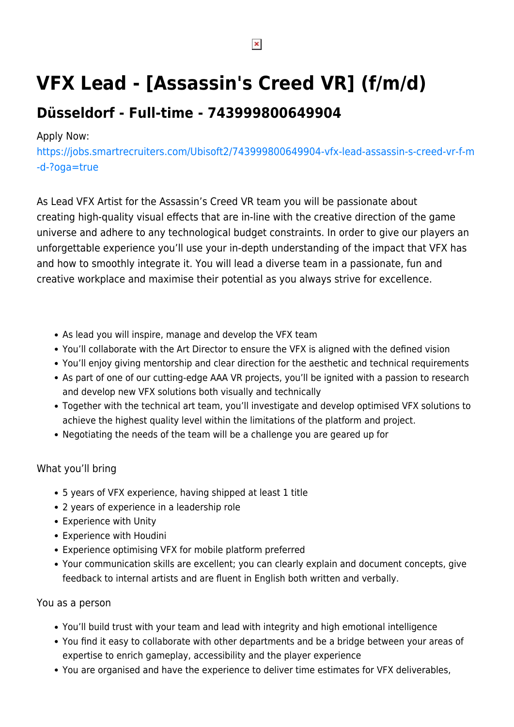# **VFX Lead - [Assassin's Creed VR] (f/m/d)**

# **Düsseldorf - Full-time - 743999800649904**

### Apply Now:

[https://jobs.smartrecruiters.com/Ubisoft2/743999800649904-vfx-lead-assassin-s-creed-vr-f-m](https://jobs.smartrecruiters.com/Ubisoft2/743999800649904-vfx-lead-assassin-s-creed-vr-f-m-d-?oga=true) [-d-?oga=true](https://jobs.smartrecruiters.com/Ubisoft2/743999800649904-vfx-lead-assassin-s-creed-vr-f-m-d-?oga=true)

As Lead VFX Artist for the Assassin's Creed VR team you will be passionate about creating high-quality visual effects that are in-line with the creative direction of the game universe and adhere to any technological budget constraints. In order to give our players an unforgettable experience you'll use your in-depth understanding of the impact that VFX has and how to smoothly integrate it. You will lead a diverse team in a passionate, fun and creative workplace and maximise their potential as you always strive for excellence.

- As lead you will inspire, manage and develop the VFX team
- You'll collaborate with the Art Director to ensure the VFX is aligned with the defined vision
- You'll enjoy giving mentorship and clear direction for the aesthetic and technical requirements
- As part of one of our cutting-edge AAA VR projects, you'll be ignited with a passion to research and develop new VFX solutions both visually and technically
- Together with the technical art team, you'll investigate and develop optimised VFX solutions to achieve the highest quality level within the limitations of the platform and project.
- Negotiating the needs of the team will be a challenge you are geared up for

#### What you'll bring

- 5 years of VFX experience, having shipped at least 1 title
- 2 years of experience in a leadership role
- Experience with Unity
- Experience with Houdini
- Experience optimising VFX for mobile platform preferred
- Your communication skills are excellent; you can clearly explain and document concepts, give feedback to internal artists and are fluent in English both written and verbally.

#### You as a person

- You'll build trust with your team and lead with integrity and high emotional intelligence
- You find it easy to collaborate with other departments and be a bridge between your areas of expertise to enrich gameplay, accessibility and the player experience
- You are organised and have the experience to deliver time estimates for VFX deliverables,

 $\pmb{\times}$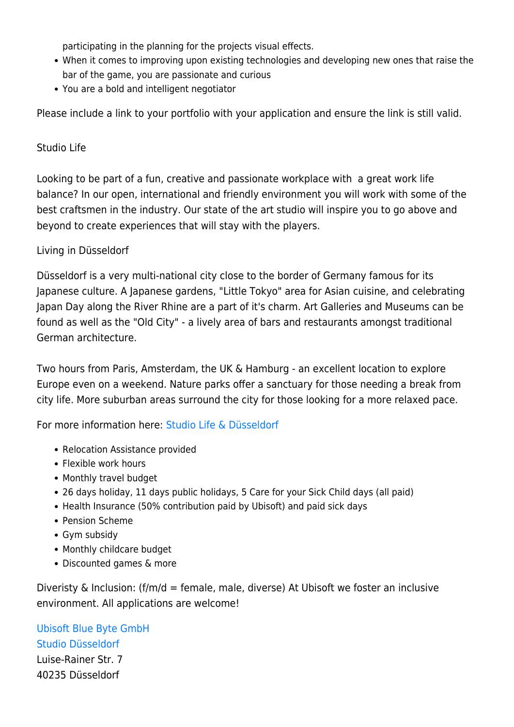participating in the planning for the projects visual effects.

- When it comes to improving upon existing technologies and developing new ones that raise the bar of the game, you are passionate and curious
- You are a bold and intelligent negotiator

Please include a link to your portfolio with your application and ensure the link is still valid.

# Studio Life

Looking to be part of a fun, creative and passionate workplace with a great work life balance? In our open, international and friendly environment you will work with some of the best craftsmen in the industry. Our state of the art studio will inspire you to go above and beyond to create experiences that will stay with the players.

# Living in Düsseldorf

Düsseldorf is a very multi-national city close to the border of Germany famous for its Japanese culture. A Japanese gardens, "Little Tokyo" area for Asian cuisine, and celebrating Japan Day along the River Rhine are a part of it's charm. Art Galleries and Museums can be found as well as the "Old City" - a lively area of bars and restaurants amongst traditional German architecture.

Two hours from Paris, Amsterdam, the UK & Hamburg - an excellent location to explore Europe even on a weekend. Nature parks offer a sanctuary for those needing a break from city life. More suburban areas surround the city for those looking for a more relaxed pace.

For more information here: [Studio Life & Düsseldorf](https://c.smartrecruiters.com/sr-company-attachments-prod/56be0df1e4b043c434798ee2/d2ec3f98-fb3d-4bbd-abe0-4f3efad60740?r=s3) 

- Relocation Assistance provided
- Flexible work hours
- Monthly travel budget
- 26 days holiday, 11 days public holidays, 5 Care for your Sick Child days (all paid)
- Health Insurance (50% contribution paid by Ubisoft) and paid sick days
- Pension Scheme
- Gym subsidy
- Monthly childcare budget
- Discounted games & more

Diveristy & Inclusion:  $(f/m/d =$  female, male, diverse) At Ubisoft we foster an inclusive environment. All applications are welcome!

[Ubisoft Blue Byte GmbH](https://mana.ubisoft.org/SitePages/Redirect.aspx?q=https%3A%2F%2Fbluebyte.ubisoft.com%2Fen%2F&s=0)  [Studio Düsseldorf](https://mana.ubisoft.org/SitePages/Redirect.aspx?q=https%3A%2F%2Fduesseldorf.ubisoft.com%2Fen%2F&s=0)

Luise-Rainer Str. 7 40235 Düsseldorf